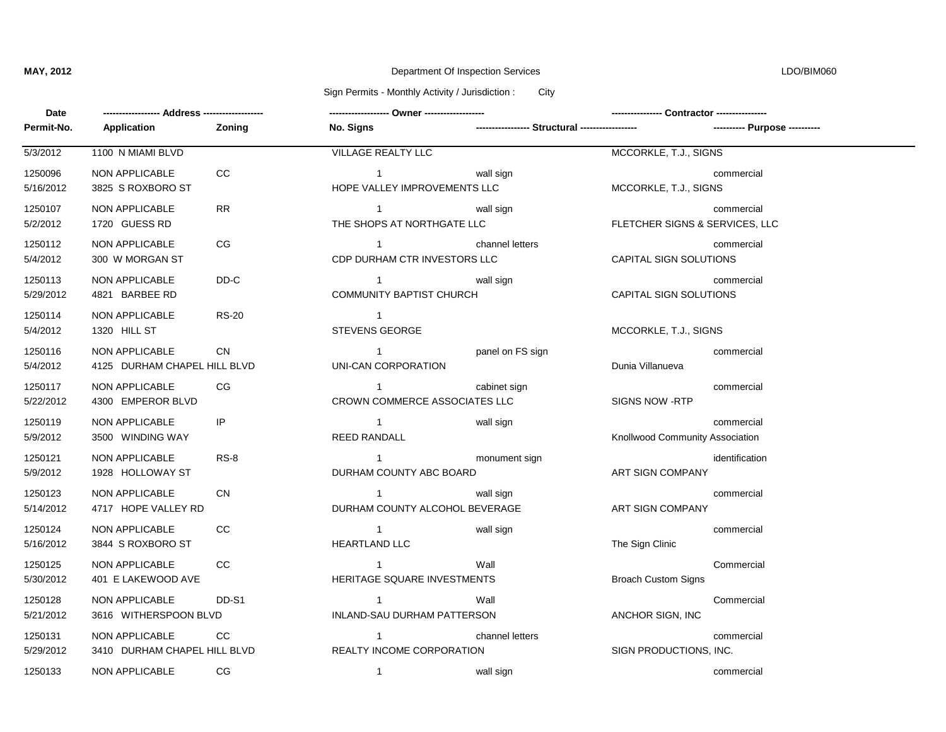# **MAY, 2012** Department Of Inspection Services LDO/BIM060

### Sign Permits - Monthly Activity / Jurisdiction : City

| Date                 | -----------------                              |           |                                                                |                                                 |                                 |                               |
|----------------------|------------------------------------------------|-----------|----------------------------------------------------------------|-------------------------------------------------|---------------------------------|-------------------------------|
| Permit-No.           | Application                                    | Zoning    | No. Signs                                                      | ----------------- Structural ------------------ |                                 | ---------- Purpose ---------- |
| 5/3/2012             | 1100 N MIAMI BLVD                              |           | <b>VILLAGE REALTY LLC</b>                                      |                                                 | MCCORKLE, T.J., SIGNS           |                               |
| 1250096<br>5/16/2012 | <b>NON APPLICABLE</b><br>3825 S ROXBORO ST     | CC        | $1 \quad \cdots \quad \cdots$<br>HOPE VALLEY IMPROVEMENTS LLC  | wall sign                                       | MCCORKLE, T.J., SIGNS           | commercial                    |
| 1250107<br>5/2/2012  | NON APPLICABLE<br>1720 GUESS RD                | <b>RR</b> | $\overline{1}$<br>THE SHOPS AT NORTHGATE LLC                   | wall sign                                       | FLETCHER SIGNS & SERVICES, LLC  | commercial                    |
| 1250112<br>5/4/2012  | NON APPLICABLE<br>300 W MORGAN ST              | CG.       | CDP DURHAM CTR INVESTORS LLC                                   | channel letters                                 | CAPITAL SIGN SOLUTIONS          | commercial                    |
| 1250113<br>5/29/2012 | NON APPLICABLE<br>4821 BARBEE RD               | DD-C      | <b>COMMUNITY BAPTIST CHURCH</b>                                | wall sign                                       | CAPITAL SIGN SOLUTIONS          | commercial                    |
| 1250114<br>5/4/2012  | NON APPLICABLE<br>1320 HILL ST                 | RS-20     | $\overline{1}$<br><b>STEVENS GEORGE</b>                        |                                                 | MCCORKLE, T.J., SIGNS           |                               |
| 1250116<br>5/4/2012  | NON APPLICABLE<br>4125 DURHAM CHAPEL HILL BLVD | <b>CN</b> | $1 \qquad \qquad$<br>UNI-CAN CORPORATION                       | panel on FS sign                                | Dunia Villanueva                | commercial                    |
| 1250117<br>5/22/2012 | NON APPLICABLE<br>4300 EMPEROR BLVD            | CG.       | $1 \quad \cdots \quad \cdots$<br>CROWN COMMERCE ASSOCIATES LLC | cabinet sign                                    | <b>SIGNS NOW -RTP</b>           | commercial                    |
| 1250119<br>5/9/2012  | NON APPLICABLE<br>3500 WINDING WAY             | IP        | $\overline{1}$<br><b>REED RANDALL</b>                          | wall sign                                       | Knollwood Community Association | commercial                    |
| 1250121<br>5/9/2012  | NON APPLICABLE<br>1928 HOLLOWAY ST             | $RS-8$    | $\mathbf 1$<br>DURHAM COUNTY ABC BOARD                         | monument sign                                   | ART SIGN COMPANY                | identification                |
| 1250123<br>5/14/2012 | NON APPLICABLE<br>4717 HOPE VALLEY RD          | <b>CN</b> | $\mathbf{1}$<br>DURHAM COUNTY ALCOHOL BEVERAGE                 | wall sign                                       | ART SIGN COMPANY                | commercial                    |
| 1250124<br>5/16/2012 | <b>NON APPLICABLE</b><br>3844 S ROXBORO ST     | <b>CC</b> | $\mathbf{1}$<br><b>HEARTLAND LLC</b>                           | wall sign                                       | The Sign Clinic                 | commercial                    |
| 1250125<br>5/30/2012 | NON APPLICABLE<br>401 E LAKEWOOD AVE           | CC.       | $\overline{1}$<br>HERITAGE SQUARE INVESTMENTS                  | Wall                                            | <b>Broach Custom Signs</b>      | Commercial                    |
| 1250128<br>5/21/2012 | NON APPLICABLE<br>3616 WITHERSPOON BLVD        | DD-S1     | $\overline{1}$<br>INLAND-SAU DURHAM PATTERSON                  | Wall                                            | ANCHOR SIGN, INC                | Commercial                    |
| 1250131<br>5/29/2012 | NON APPLICABLE<br>3410 DURHAM CHAPEL HILL BLVD | CC        | $\mathbf{1}$<br>REALTY INCOME CORPORATION                      | channel letters                                 | SIGN PRODUCTIONS, INC.          | commercial                    |
| 1250133              | NON APPLICABLE                                 | CG        | $\overline{1}$                                                 | wall sign                                       |                                 | commercial                    |